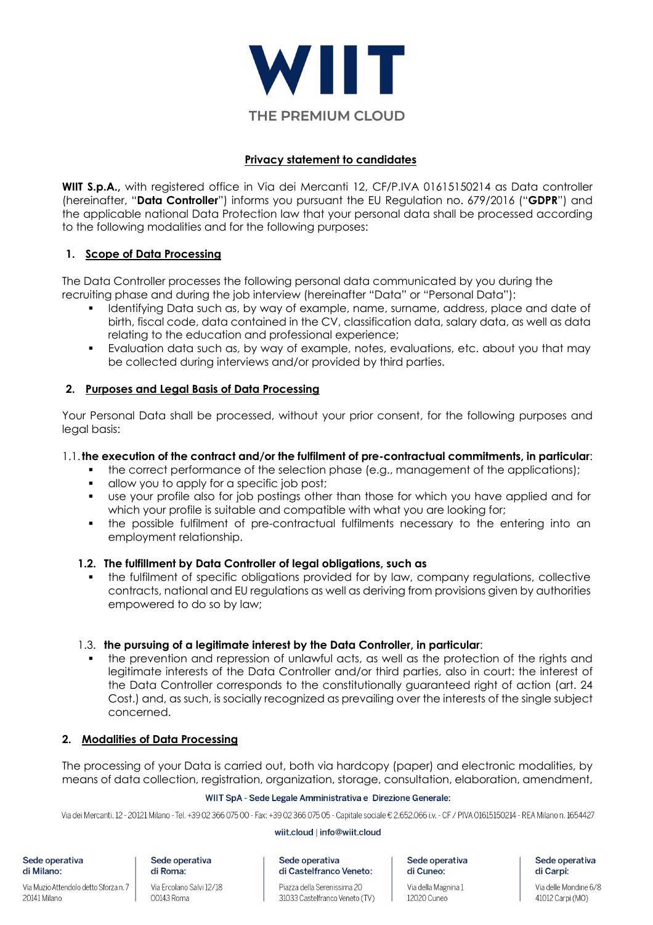

# **Privacy statement to candidates**

**WIIT S.p.A.,** with registered office in Via dei Mercanti 12, CF/P.IVA 01615150214 as Data controller (hereinafter, "**Data Controller**") informs you pursuant the EU Regulation no. 679/2016 ("**GDPR**") and the applicable national Data Protection law that your personal data shall be processed according to the following modalities and for the following purposes:

# **1. Scope of Data Processing**

The Data Controller processes the following personal data communicated by you during the recruiting phase and during the job interview (hereinafter "Data" or "Personal Data"):

- § Identifying Data such as, by way of example, name, surname, address, place and date of birth, fiscal code, data contained in the CV, classification data, salary data, as well as data relating to the education and professional experience;
- Evaluation data such as, by way of example, notes, evaluations, etc. about you that may be collected during interviews and/or provided by third parties.

## **2. Purposes and Legal Basis of Data Processing**

Your Personal Data shall be processed, without your prior consent, for the following purposes and legal basis:

### 1.1.**the execution of the contract and/or the fulfilment of pre-contractual commitments, in particular**:

- the correct performance of the selection phase (e.g., management of the applications);
- § allow you to apply for a specific job post;
- use your profile also for job postings other than those for which you have applied and for which your profile is suitable and compatible with what you are looking for;
- the possible fulfilment of pre-contractual fulfilments necessary to the entering into an employment relationship.

## **1.2. The fulfillment by Data Controller of legal obligations, such as**

the fulfilment of specific obligations provided for by law, company regulations, collective contracts, national and EU regulations as well as deriving from provisions given by authorities empowered to do so by law;

## 1.3. **the pursuing of a legitimate interest by the Data Controller, in particular**:

the prevention and repression of unlawful acts, as well as the protection of the rights and legitimate interests of the Data Controller and/or third parties, also in court: the interest of the Data Controller corresponds to the constitutionally guaranteed right of action (art. 24 Cost.) and, as such, is socially recognized as prevailing over the interests of the single subject concerned.

## **2. Modalities of Data Processing**

The processing of your Data is carried out, both via hardcopy (paper) and electronic modalities, by means of data collection, registration, organization, storage, consultation, elaboration, amendment,

### WIIT SpA - Sede Legale Amministrativa e Direzione Generale:

Via dei Mercanti, 12 - 20121 Milano - Tel. +39 02 366 075 00 - Fax: +39 02 366 075 05 - Capitale sociale €, 2,652,066 i.v. - CF / PIVA 01615150214 - RFA Milano n. 1654427

### wiit.cloud | info@wiit.cloud

Sede operativa di Milano:

Via Muzio Attendolo detto Sforza n. 7 20141 Milano

Sede operativa di Roma:

Via Ercolano Salvi 12/18 00143 Roma

Sede operativa di Castelfranco Veneto:

Piazza della Serenissima 20 31033 Castelfranco Veneto (TV) Sede operativa di Cuneo:

Via della Magnina 1 12020 Cuneo

Sede operativa di Carpi:

Via delle Mondine 6/8 41012 Carpi (MO)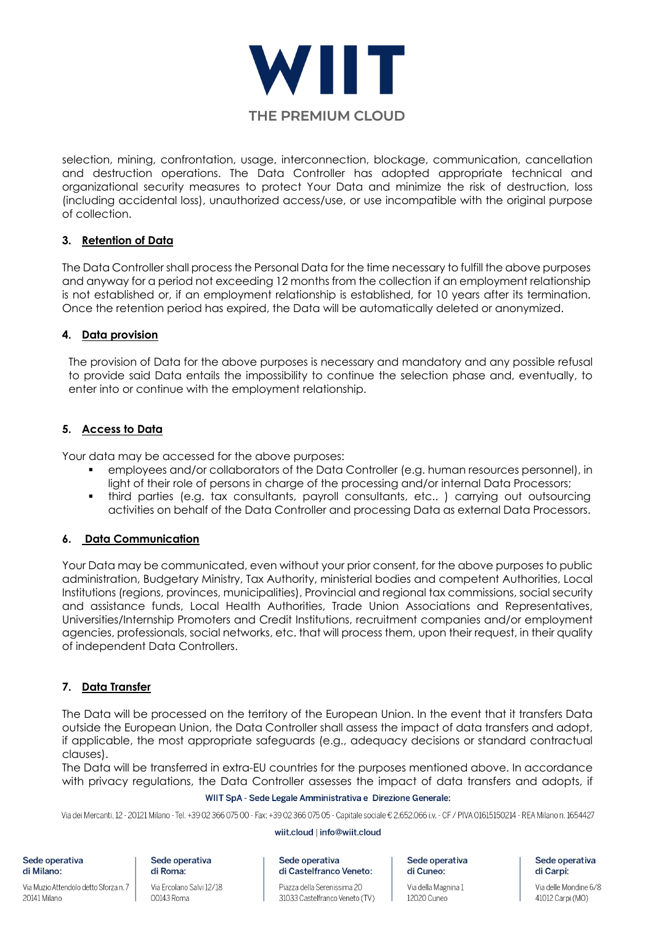

selection, mining, confrontation, usage, interconnection, blockage, communication, cancellation and destruction operations. The Data Controller has adopted appropriate technical and organizational security measures to protect Your Data and minimize the risk of destruction, loss (including accidental loss), unauthorized access/use, or use incompatible with the original purpose of collection.

# **3. Retention of Data**

The Data Controller shall process the Personal Data for the time necessary to fulfill the above purposes and anyway for a period not exceeding 12 months from the collection if an employment relationship is not established or, if an employment relationship is established, for 10 years after its termination. Once the retention period has expired, the Data will be automatically deleted or anonymized.

# **4. Data provision**

The provision of Data for the above purposes is necessary and mandatory and any possible refusal to provide said Data entails the impossibility to continue the selection phase and, eventually, to enter into or continue with the employment relationship.

# **5. Access to Data**

Your data may be accessed for the above purposes:

- employees and/or collaborators of the Data Controller (e.g. human resources personnel), in light of their role of persons in charge of the processing and/or internal Data Processors;
- § third parties (e.g. tax consultants, payroll consultants, etc.. ) carrying out outsourcing activities on behalf of the Data Controller and processing Data as external Data Processors.

## **6. Data Communication**

Your Data may be communicated, even without your prior consent, for the above purposes to public administration, Budgetary Ministry, Tax Authority, ministerial bodies and competent Authorities, Local Institutions (regions, provinces, municipalities), Provincial and regional tax commissions, social security and assistance funds, Local Health Authorities, Trade Union Associations and Representatives, Universities/Internship Promoters and Credit Institutions, recruitment companies and/or employment agencies, professionals, social networks, etc. that will process them, upon their request, in their quality of independent Data Controllers.

# **7. Data Transfer**

The Data will be processed on the territory of the European Union. In the event that it transfers Data outside the European Union, the Data Controller shall assess the impact of data transfers and adopt, if applicable, the most appropriate safeguards (e.g., adequacy decisions or standard contractual clauses).

The Data will be transferred in extra-EU countries for the purposes mentioned above. In accordance with privacy regulations, the Data Controller assesses the impact of data transfers and adopts, if

## WIIT SpA - Sede Legale Amministrativa e Direzione Generale:

Via dei Mercanti, 12 - 20121 Milano - Tel. +39 02 366 075 00 - Fax: +39 02 366 075 05 - Capitale sociale € 2.652.066 i.v. - CF / PIVA 01615150214 - REA Milano n. 1654427

### wiit.cloud | info@wiit.cloud

Sede operativa di Milano:

Via Muzio Attendolo detto Sforza n. 7 20141 Milano

Sede operativa di Roma:

00143 Roma

Via Ercolano Salvi 12/18

Sede operativa di Castelfranco Veneto:

Piazza della Serenissima 20 31033 Castelfranco Veneto (TV) Sede operativa di Cuneo:

Via della Magnina 1 12020 Cuneo

Sede operativa di Carpi:

Via delle Mondine 6/8 41012 Carpi (MO)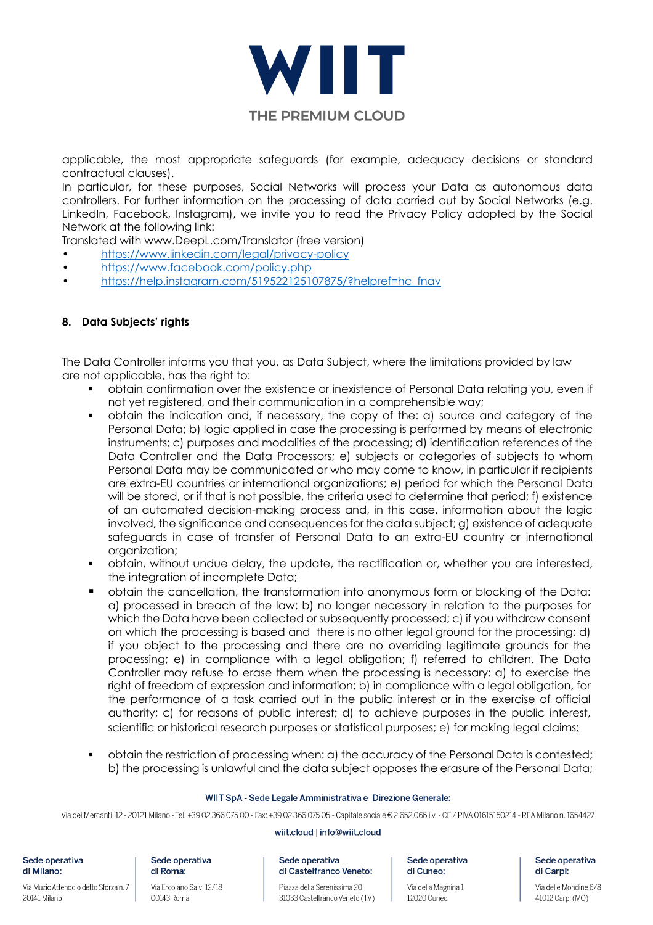

applicable, the most appropriate safeguards (for example, adequacy decisions or standard contractual clauses).

In particular, for these purposes, Social Networks will process your Data as autonomous data controllers. For further information on the processing of data carried out by Social Networks (e.g. LinkedIn, Facebook, Instagram), we invite you to read the Privacy Policy adopted by the Social Network at the following link:

Translated with www.DeepL.com/Translator (free version)

- https://www.linkedin.com/legal/privacy-policy
- https://www.facebook.com/policy.php
- https://help.instagram.com/519522125107875/?helpref=hc\_fnav

## **8. Data Subjects' rights**

The Data Controller informs you that you, as Data Subject, where the limitations provided by law are not applicable, has the right to:

- § obtain confirmation over the existence or inexistence of Personal Data relating you, even if not yet registered, and their communication in a comprehensible way;
- obtain the indication and, if necessary, the copy of the: a) source and category of the Personal Data; b) logic applied in case the processing is performed by means of electronic instruments; c) purposes and modalities of the processing; d) identification references of the Data Controller and the Data Processors; e) subjects or categories of subjects to whom Personal Data may be communicated or who may come to know, in particular if recipients are extra-EU countries or international organizations; e) period for which the Personal Data will be stored, or if that is not possible, the criteria used to determine that period; f) existence of an automated decision-making process and, in this case, information about the logic involved, the significance and consequences for the data subject; g) existence of adequate safeguards in case of transfer of Personal Data to an extra-EU country or international organization;
- § obtain, without undue delay, the update, the rectification or, whether you are interested, the integration of incomplete Data;
- § obtain the cancellation, the transformation into anonymous form or blocking of the Data: a) processed in breach of the law; b) no longer necessary in relation to the purposes for which the Data have been collected or subsequently processed; c) if you withdraw consent on which the processing is based and there is no other legal ground for the processing; d) if you object to the processing and there are no overriding legitimate grounds for the processing; e) in compliance with a legal obligation; f) referred to children. The Data Controller may refuse to erase them when the processing is necessary: a) to exercise the right of freedom of expression and information; b) in compliance with a legal obligation, for the performance of a task carried out in the public interest or in the exercise of official authority; c) for reasons of public interest; d) to achieve purposes in the public interest, scientific or historical research purposes or statistical purposes; e) for making legal claims;
- § obtain the restriction of processing when: a) the accuracy of the Personal Data is contested; b) the processing is unlawful and the data subject opposes the erasure of the Personal Data;

### WIIT SpA - Sede Legale Amministrativa e Direzione Generale:

Via dei Mercanti, 12 - 20121 Milano - Tel. +39 02 366 075 00 - Fax: +39 02 366 075 05 - Capitale sociale €, 2,652,066 i.v. - CF / PIVA 01615150214 - RFA Milano n. 1654427

#### wiit.cloud | info@wiit.cloud

Sede operativa di Castelfranco Veneto:

Sede operativa di Cuneo:

Via della Magnina 1 12020 Cuneo

Sede operativa di Carpi:

Via delle Mondine 6/8 41012 Carpi (MO)

Via Muzio Attendolo detto Sforza n. 7 20141 Milano

Sede operativa

di Milano:

#### Sede operativa di Roma:

Via Ercolano Salvi 12/18 00143 Roma

Piazza della Serenissima 20 31033 Castelfranco Veneto (TV)